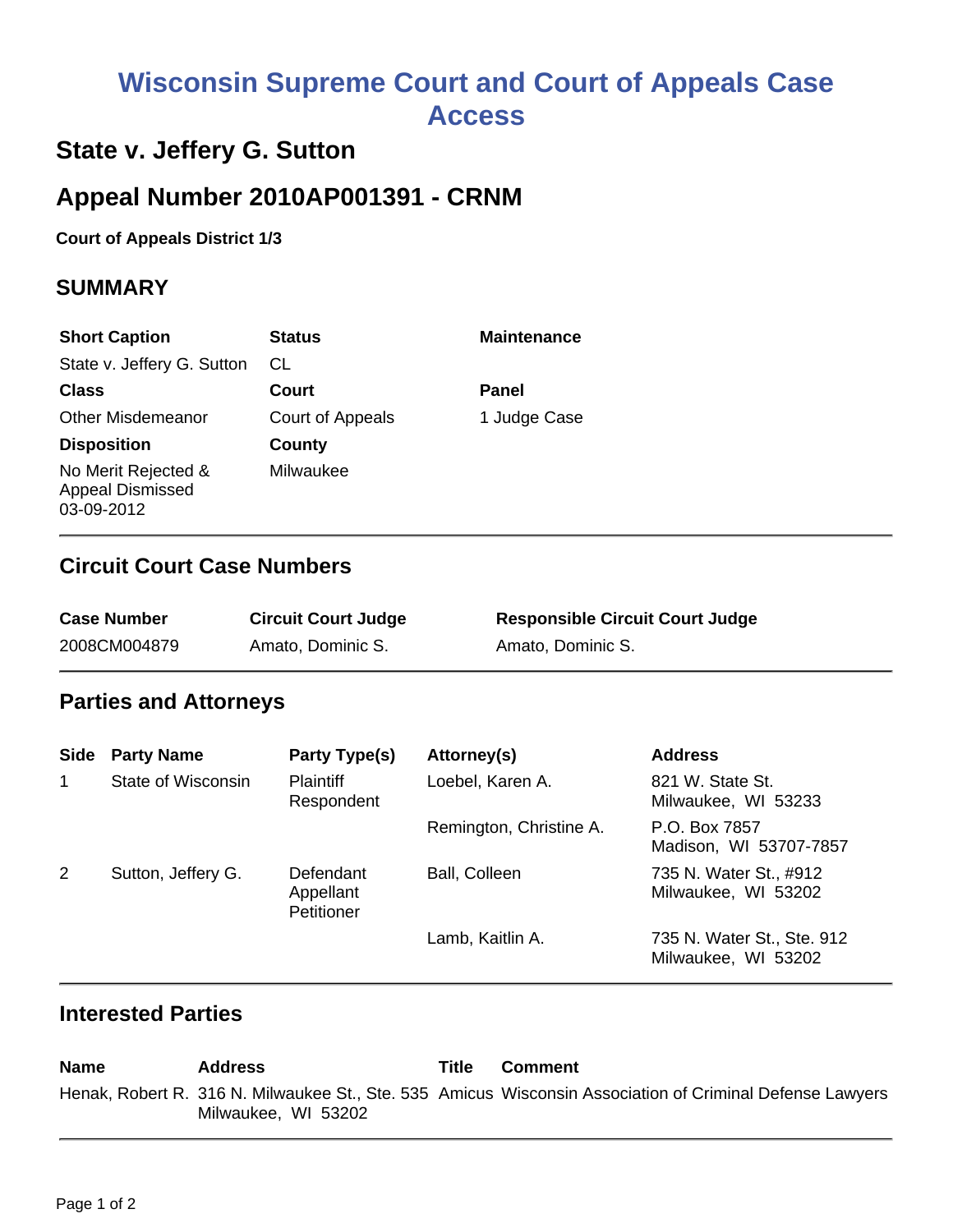# **Wisconsin Supreme Court and Court of Appeals Case Access**

## **State v. Jeffery G. Sutton**

# **Appeal Number 2010AP001391 - CRNM**

**Court of Appeals District 1/3**

#### **SUMMARY**

| <b>Short Caption</b>                                         | <b>Status</b>    | <b>Maintenance</b> |
|--------------------------------------------------------------|------------------|--------------------|
| State v. Jeffery G. Sutton                                   | СL               |                    |
| <b>Class</b>                                                 | Court            | Panel              |
| <b>Other Misdemeanor</b>                                     | Court of Appeals | 1 Judge Case       |
| <b>Disposition</b>                                           | County           |                    |
| No Merit Rejected &<br><b>Appeal Dismissed</b><br>03-09-2012 | Milwaukee        |                    |

#### **Circuit Court Case Numbers**

| <b>Case Number</b> | <b>Circuit Court Judge</b> | <b>Responsible Circuit Court Judge</b> |
|--------------------|----------------------------|----------------------------------------|
| 2008CM004879       | Amato, Dominic S.          | Amato, Dominic S.                      |

#### **Parties and Attorneys**

| <b>Side</b> | <b>Party Name</b>  | Party Type(s)                        | Attorney(s)             | <b>Address</b>                                    |
|-------------|--------------------|--------------------------------------|-------------------------|---------------------------------------------------|
| 1           | State of Wisconsin | <b>Plaintiff</b><br>Respondent       | Loebel, Karen A.        | 821 W. State St.<br>Milwaukee, WI 53233           |
|             |                    |                                      | Remington, Christine A. | P.O. Box 7857<br>Madison, WI 53707-7857           |
| 2           | Sutton, Jeffery G. | Defendant<br>Appellant<br>Petitioner | Ball, Colleen           | 735 N. Water St., #912<br>Milwaukee, WI 53202     |
|             |                    |                                      | Lamb, Kaitlin A.        | 735 N. Water St., Ste. 912<br>Milwaukee, WI 53202 |

#### **Interested Parties**

**Name Address Title Comment** Henak, Robert R. 316 N. Milwaukee St., Ste. 535 Amicus Wisconsin Association of Criminal Defense LawyersMilwaukee, WI 53202